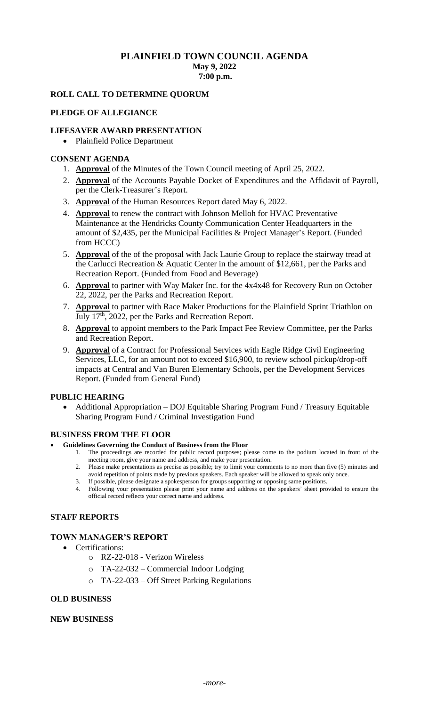# **PLAINFIELD TOWN COUNCIL AGENDA May 9, 2022**

**7:00 p.m.** 

# **ROLL CALL TO DETERMINE QUORUM**

## **PLEDGE OF ALLEGIANCE**

## **LIFESAVER AWARD PRESENTATION**

• Plainfield Police Department

#### **CONSENT AGENDA**

- 1. **Approval** of the Minutes of the Town Council meeting of April 25, 2022.
- 2. **Approval** of the Accounts Payable Docket of Expenditures and the Affidavit of Payroll, per the Clerk-Treasurer's Report.
- 3. **Approval** of the Human Resources Report dated May 6, 2022.
- 4. **Approval** to renew the contract with Johnson Melloh for HVAC Preventative Maintenance at the Hendricks County Communication Center Headquarters in the amount of \$2,435, per the Municipal Facilities & Project Manager's Report. (Funded from HCCC)
- 5. **Approval** of the of the proposal with Jack Laurie Group to replace the stairway tread at the Carlucci Recreation & Aquatic Center in the amount of \$12,661, per the Parks and Recreation Report. (Funded from Food and Beverage)
- 6. **Approval** to partner with Way Maker Inc. for the 4x4x48 for Recovery Run on October 22, 2022, per the Parks and Recreation Report.
- 7. **Approval** to partner with Race Maker Productions for the Plainfield Sprint Triathlon on July 17<sup>th</sup>, 2022, per the Parks and Recreation Report.
- 8. **Approval** to appoint members to the Park Impact Fee Review Committee, per the Parks and Recreation Report.
- 9. **Approval** of a Contract for Professional Services with Eagle Ridge Civil Engineering Services, LLC, for an amount not to exceed \$16,900, to review school pickup/drop-off impacts at Central and Van Buren Elementary Schools, per the Development Services Report. (Funded from General Fund)

#### **PUBLIC HEARING**

• Additional Appropriation – DOJ Equitable Sharing Program Fund / Treasury Equitable Sharing Program Fund / Criminal Investigation Fund

#### **BUSINESS FROM THE FLOOR**

- **Guidelines Governing the Conduct of Business from the Floor**
	- 1. The proceedings are recorded for public record purposes; please come to the podium located in front of the meeting room, give your name and address, and make your presentation.
	- 2. Please make presentations as precise as possible; try to limit your comments to no more than five (5) minutes and avoid repetition of points made by previous speakers. Each speaker will be allowed to speak only once.
	- 3. If possible, please designate a spokesperson for groups supporting or opposing same positions.
	- 4. Following your presentation please print your name and address on the speakers' sheet provided to ensure the official record reflects your correct name and address.

# **STAFF REPORTS**

# **TOWN MANAGER'S REPORT**

- Certifications:
	- o RZ-22-018 Verizon Wireless
	- o TA-22-032 Commercial Indoor Lodging
	- o TA-22-033 Off Street Parking Regulations

#### **OLD BUSINESS**

#### **NEW BUSINESS**